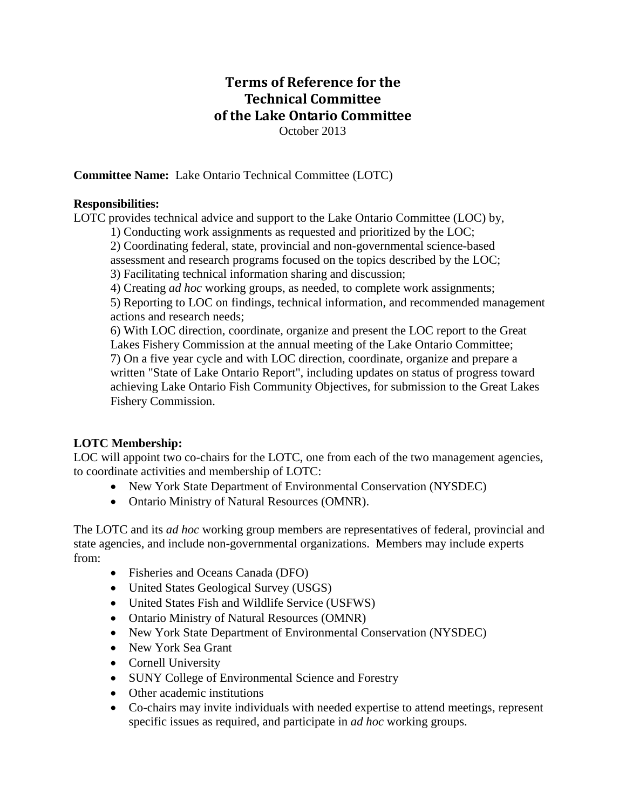# **Terms of Reference for the Technical Committee of the Lake Ontario Committee** October 2013

**Committee Name:** Lake Ontario Technical Committee (LOTC)

#### **Responsibilities:**

LOTC provides technical advice and support to the Lake Ontario Committee (LOC) by,

1) Conducting work assignments as requested and prioritized by the LOC;

2) Coordinating federal, state, provincial and non-governmental science-based assessment and research programs focused on the topics described by the LOC;

3) Facilitating technical information sharing and discussion;

4) Creating *ad hoc* working groups, as needed, to complete work assignments; 5) Reporting to LOC on findings, technical information, and recommended management

actions and research needs;

6) With LOC direction, coordinate, organize and present the LOC report to the Great Lakes Fishery Commission at the annual meeting of the Lake Ontario Committee; 7) On a five year cycle and with LOC direction, coordinate, organize and prepare a written "State of Lake Ontario Report", including updates on status of progress toward achieving Lake Ontario Fish Community Objectives, for submission to the Great Lakes Fishery Commission.

# **LOTC Membership:**

LOC will appoint two co-chairs for the LOTC, one from each of the two management agencies, to coordinate activities and membership of LOTC:

- New York State Department of Environmental Conservation (NYSDEC)
- Ontario Ministry of Natural Resources (OMNR).

The LOTC and its *ad hoc* working group members are representatives of federal, provincial and state agencies, and include non-governmental organizations. Members may include experts from:

- Fisheries and Oceans Canada (DFO)
- United States Geological Survey (USGS)
- United States Fish and Wildlife Service (USFWS)
- Ontario Ministry of Natural Resources (OMNR)
- New York State Department of Environmental Conservation (NYSDEC)
- New York Sea Grant
- Cornell University
- SUNY College of Environmental Science and Forestry
- Other academic institutions
- Co-chairs may invite individuals with needed expertise to attend meetings, represent specific issues as required, and participate in *ad hoc* working groups.